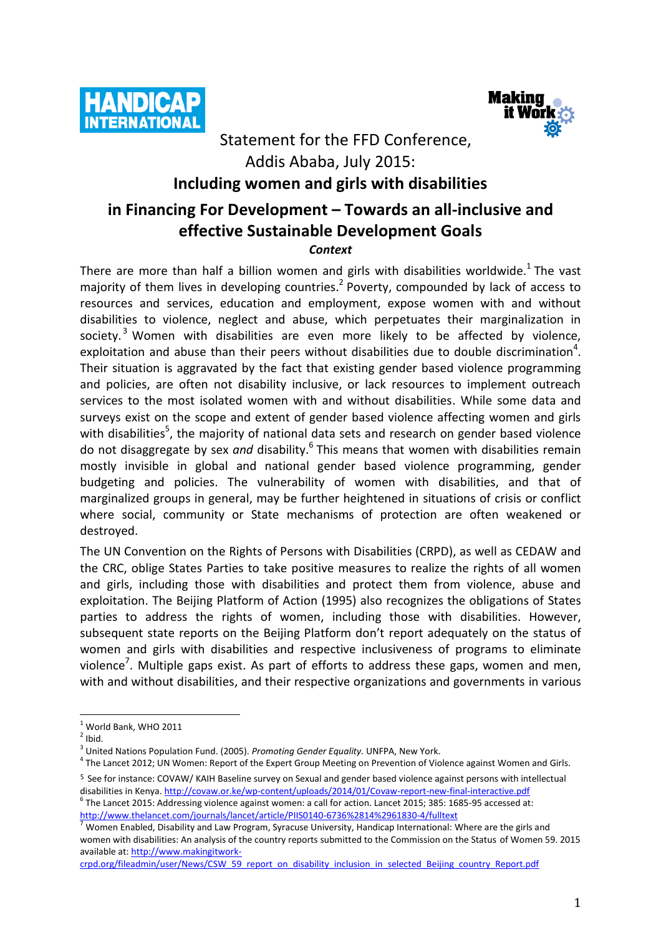



## Statement for the FFD Conference, Addis Ababa, July 2015:

### **Including women and girls with disabilities**

# **in Financing For Development – Towards an all-inclusive and effective Sustainable Development Goals**

### *Context*

There are more than half a billion women and girls with disabilities worldwide.<sup>1</sup> The vast majority of them lives in developing countries.<sup>2</sup> Poverty, compounded by lack of access to resources and services, education and employment, expose women with and without disabilities to violence, neglect and abuse, which perpetuates their marginalization in society.<sup>3</sup> Women with disabilities are even more likely to be affected by violence, exploitation and abuse than their peers without disabilities due to double discrimination<sup>4</sup>. Their situation is aggravated by the fact that existing gender based violence programming and policies, are often not disability inclusive, or lack resources to implement outreach services to the most isolated women with and without disabilities. While some data and surveys exist on the scope and extent of gender based violence affecting women and girls with disabilities<sup>5</sup>, the majority of national data sets and research on gender based violence do not disaggregate by sex *and* disability.<sup>6</sup> This means that women with disabilities remain mostly invisible in global and national gender based violence programming, gender budgeting and policies. The vulnerability of women with disabilities, and that of marginalized groups in general, may be further heightened in situations of crisis or conflict where social, community or State mechanisms of protection are often weakened or destroyed.

The UN Convention on the Rights of Persons with Disabilities (CRPD), as well as CEDAW and the CRC, oblige States Parties to take positive measures to realize the rights of all women and girls, including those with disabilities and protect them from violence, abuse and exploitation. The Beijing Platform of Action (1995) also recognizes the obligations of States parties to address the rights of women, including those with disabilities. However, subsequent state reports on the Beijing Platform don't report adequately on the status of women and girls with disabilities and respective inclusiveness of programs to eliminate violence<sup>7</sup>. Multiple gaps exist. As part of efforts to address these gaps, women and men, with and without disabilities, and their respective organizations and governments in various

 $\overline{a}$ 

[crpd.org/fileadmin/user/News/CSW\\_59\\_report\\_on\\_disability\\_inclusion\\_in\\_selected\\_Beijing\\_country\\_Report.pdf](http://www.makingitwork-crpd.org/fileadmin/user/News/CSW_59_report_on_disability_inclusion_in_selected_Beijing_country_Report.pdf)

 $<sup>1</sup>$  World Bank, WHO 2011</sup>

 $<sup>2</sup>$  Ibid.</sup>

<sup>3</sup> United Nations Population Fund. (2005). *Promoting Gender Equality.* UNFPA, New York.

<sup>&</sup>lt;sup>4</sup> The Lancet 2012; UN Women: Report of the Expert Group Meeting on Prevention of Violence against Women and Girls. <sup>5</sup> See for instance: COVAW/ KAIH Baseline survey on Sexual and gender based violence against persons with intellectual disabilities in Kenya.<http://covaw.or.ke/wp-content/uploads/2014/01/Covaw-report-new-final-interactive.pdf>  $^6$  The Lancet 2015: Addressing violence against women: a call for action. Lancet 2015; 385: 1685-95 accessed at: <http://www.thelancet.com/journals/lancet/article/PIIS0140-6736%2814%2961830-4/fulltext>

 $\frac{7}{7}$  Women Enabled, Disability and Law Program, Syracuse University, Handicap International: Where are the girls and women with disabilities: An analysis of the country reports submitted to the Commission on the Status of Women 59. 2015 available at[: http://www.makingitwork-](http://www.makingitwork-crpd.org/fileadmin/user/News/CSW_59_report_on_disability_inclusion_in_selected_Beijing_country_Report.pdf)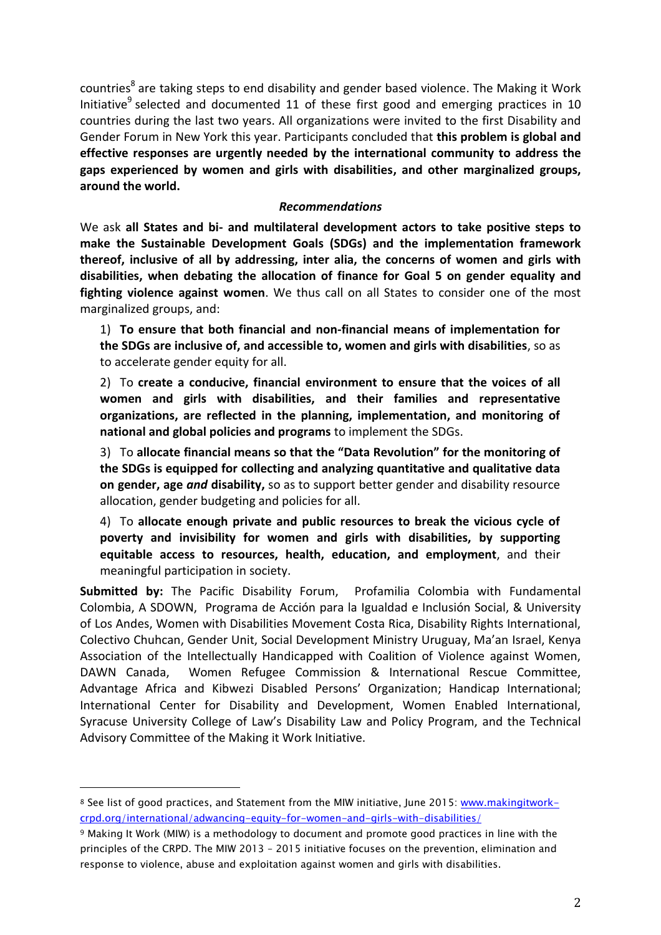countries<sup>8</sup> are taking steps to end disability and gender based violence. The Making it Work Initiative<sup>9</sup> selected and documented 11 of these first good and emerging practices in 10 countries during the last two years. All organizations were invited to the first Disability and Gender Forum in New York this year. Participants concluded that **this problem is global and effective responses are urgently needed by the international community to address the gaps experienced by women and girls with disabilities, and other marginalized groups, around the world.**

#### *Recommendations*

We ask **all States and bi- and multilateral development actors to take positive steps to make the Sustainable Development Goals (SDGs) and the implementation framework thereof, inclusive of all by addressing, inter alia, the concerns of women and girls with disabilities, when debating the allocation of finance for Goal 5 on gender equality and fighting violence against women**. We thus call on all States to consider one of the most marginalized groups, and:

1) **To ensure that both financial and non-financial means of implementation for the SDGs are inclusive of, and accessible to, women and girls with disabilities**, so as to accelerate gender equity for all.

2) To **create a conducive, financial environment to ensure that the voices of all women and girls with disabilities, and their families and representative organizations, are reflected in the planning, implementation, and monitoring of national and global policies and programs** to implement the SDGs.

3) To **allocate financial means so that the "Data Revolution" for the monitoring of the SDGs is equipped for collecting and analyzing quantitative and qualitative data on gender, age** *and* **disability,** so as to support better gender and disability resource allocation, gender budgeting and policies for all.

4) To **allocate enough private and public resources to break the vicious cycle of poverty and invisibility for women and girls with disabilities, by supporting equitable access to resources, health, education, and employment**, and their meaningful participation in society.

**Submitted by:** The Pacific Disability Forum, Profamilia Colombia with Fundamental Colombia, A SDOWN, Programa de Acción para la Igualdad e Inclusión Social, & University of Los Andes, Women with Disabilities Movement Costa Rica, Disability Rights International, Colectivo Chuhcan, Gender Unit, Social Development Ministry Uruguay, Ma'an Israel, Kenya Association of the Intellectually Handicapped with Coalition of Violence against Women, DAWN Canada, Women Refugee Commission & International Rescue Committee, Advantage Africa and Kibwezi Disabled Persons' Organization; Handicap International; International Center for Disability and Development, Women Enabled International, Syracuse University College of Law's Disability Law and Policy Program, and the Technical Advisory Committee of the Making it Work Initiative.

 $\overline{a}$ 

<sup>8</sup> See list of good practices, and Statement from the MIW initiative, June 2015: [www.makingitwork](http://www.makingitwork-crpd.org/international/adwancing-equity-for-women-and-girls-with-disabilities/)[crpd.org/international/adwancing-equity-for-women-and-girls-with-disabilities/](http://www.makingitwork-crpd.org/international/adwancing-equity-for-women-and-girls-with-disabilities/)

<sup>9</sup> Making It Work (MIW) is a methodology to document and promote good practices in line with the principles of the CRPD. The MIW 2013 – 2015 initiative focuses on the prevention, elimination and response to violence, abuse and exploitation against women and girls with disabilities.